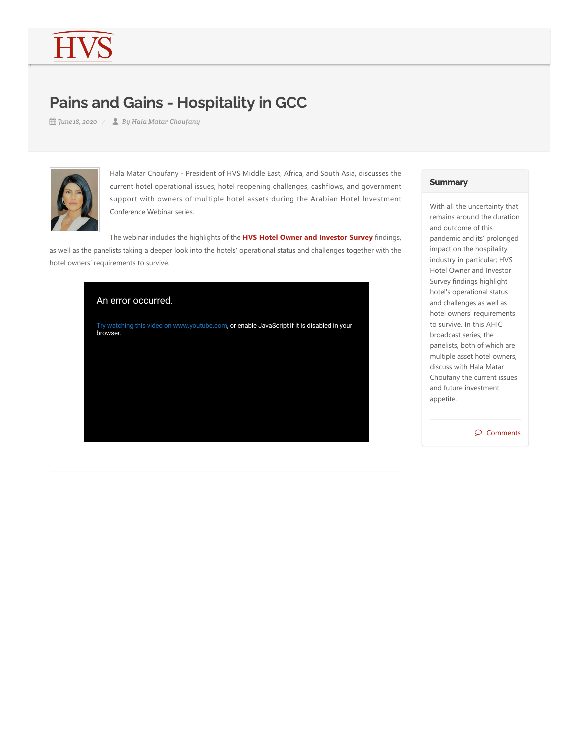## Pains and Gains - Hospitality in GCC

*June 18, 2020 By Hala Matar Choufany*



Hala Matar Choufany ‐ President of HVS Middle East, Africa, and South Asia, discusses the current hotel operational issues, hotel reopening challenges, cashflows, and government support with owners of multiple hotel assets during the Arabian Hotel Investment Conference Webinar series.

The webinar includes the highlights of the **HVS Hotel Owner and Investor Survey** findings, as well as the panelists taking a deeper look into the hotels' operational status and challenges together with the hotel owners' requirements to survive.



## **Summary**

With all the uncertainty that remains around the duration and outcome of this pandemic and its' prolonged impact on the hospitality industry in particular; HVS Hotel Owner and Investor Survey findings highlight hotel's operational status and challenges as well as hotel owners' requirements to survive. In this AHIC broadcast series, the panelists, both of which are multiple asset hotel owners, discuss with Hala Matar Choufany the current issues and future investment appetite.

 $\circledcirc$  Comments